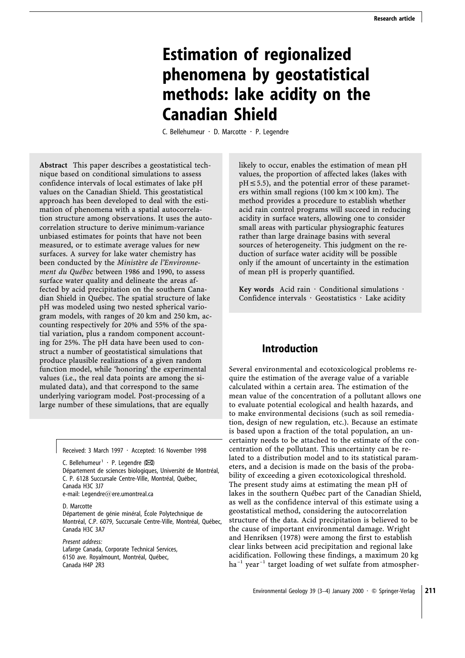# **Estimation of regionalized phenomena by geostatistical methods: lake acidity on the Canadian Shield**

C. Bellehumeur  $\cdot$  D. Marcotte  $\cdot$  P. Legendre

**Abstract** This paper describes a geostatistical technique based on conditional simulations to assess confidence intervals of local estimates of lake pH values on the Canadian Shield. This geostatistical approach has been developed to deal with the estimation of phenomena with a spatial autocorrelation structure among observations. It uses the autocorrelation structure to derive minimum-variance unbiased estimates for points that have not been measured, or to estimate average values for new surfaces. A survey for lake water chemistry has been conducted by the *Ministère de l'Environnement du Québec* between 1986 and 1990, to assess surface water quality and delineate the areas affected by acid precipitation on the southern Canadian Shield in Québec. The spatial structure of lake pH was modeled using two nested spherical variogram models, with ranges of 20 km and 250 km, accounting respectively for 20% and 55% of the spatial variation, plus a random component accounting for 25%. The pH data have been used to construct a number of geostatistical simulations that produce plausible realizations of a given random function model, while 'honoring' the experimental values (i.e., the real data points are among the simulated data), and that correspond to the same underlying variogram model. Post-processing of a large number of these simulations, that are equally

Received: 3 March 1997  $\cdot$  Accepted: 16 November 1998

C. Bellehumeur<sup>1</sup> · P. Legendre ( $\boxtimes$ ) Département de sciences biologiques, Université de Montréal, C. P. 6128 Succursale Centre-Ville, Montréal, Québec, Canada H3C 3J7 e-mail: Legendre@ere.umontreal.ca

D. Marcotte Département de génie minéral, École Polytechnique de Montréal, C.P. 6079, Succursale Centre-Ville, Montréal, Québec, Canada H3C 3A7

*Present address:* Lafarge Canada, Corporate Technical Services, 6150 ave. Royalmount, Montréal, Québec, Canada H4P 2R3

likely to occur, enables the estimation of mean pH values, the proportion of affected lakes (lakes with  $pH \leq 5.5$ ), and the potential error of these parameters within small regions (100 km  $\times$  100 km). The method provides a procedure to establish whether acid rain control programs will succeed in reducing acidity in surface waters, allowing one to consider small areas with particular physiographic features rather than large drainage basins with several sources of heterogeneity. This judgment on the reduction of surface water acidity will be possible only if the amount of uncertainty in the estimation of mean pH is properly quantified.

Key words Acid rain  $\cdot$  Conditional simulations  $\cdot$ Confidence intervals  $\cdot$  Geostatistics  $\cdot$  Lake acidity

# **Introduction**

Several environmental and ecotoxicological problems require the estimation of the average value of a variable calculated within a certain area. The estimation of the mean value of the concentration of a pollutant allows one to evaluate potential ecological and health hazards, and to make environmental decisions (such as soil remediation, design of new regulation, etc.). Because an estimate is based upon a fraction of the total population, an uncertainty needs to be attached to the estimate of the concentration of the pollutant. This uncertainty can be related to a distribution model and to its statistical parameters, and a decision is made on the basis of the probability of exceeding a given ecotoxicological threshold. The present study aims at estimating the mean pH of lakes in the southern Québec part of the Canadian Shield, as well as the confidence interval of this estimate using a geostatistical method, considering the autocorrelation structure of the data. Acid precipitation is believed to be the cause of important environmental damage. Wright and Henriksen (1978) were among the first to establish clear links between acid precipitation and regional lake acidification. Following these findings, a maximum 20 kg  $ha^{-1}$  year<sup>-1</sup> target loading of wet sulfate from atmospher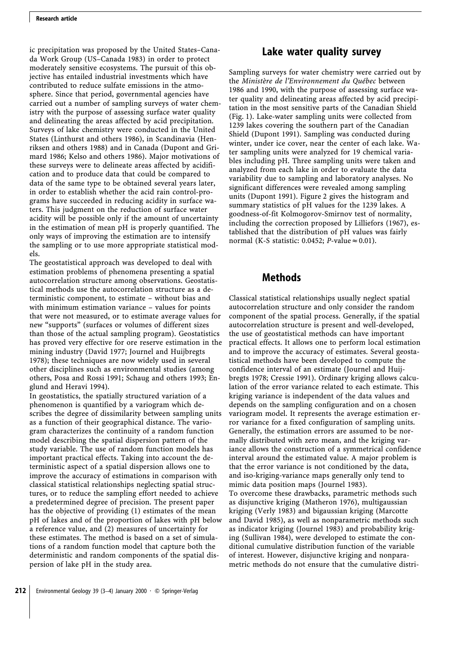ic precipitation was proposed by the United States–Canada Work Group (US–Canada 1983) in order to protect moderately sensitive ecosystems. The pursuit of this objective has entailed industrial investments which have contributed to reduce sulfate emissions in the atmosphere. Since that period, governmental agencies have carried out a number of sampling surveys of water chemistry with the purpose of assessing surface water quality and delineating the areas affected by acid precipitation. Surveys of lake chemistry were conducted in the United States (Linthurst and others 1986), in Scandinavia (Henriksen and others 1988) and in Canada (Dupont and Grimard 1986; Kelso and others 1986). Major motivations of these surveys were to delineate areas affected by acidification and to produce data that could be compared to data of the same type to be obtained several years later, in order to establish whether the acid rain control-programs have succeeded in reducing acidity in surface waters. This judgment on the reduction of surface water acidity will be possible only if the amount of uncertainty in the estimation of mean pH is properly quantified. The only ways of improving the estimation are to intensify the sampling or to use more appropriate statistical models.

The geostatistical approach was developed to deal with estimation problems of phenomena presenting a spatial autocorrelation structure among observations. Geostatistical methods use the autocorrelation structure as a deterministic component, to estimate – without bias and with minimum estimation variance – values for points that were not measured, or to estimate average values for new "supports" (surfaces or volumes of different sizes than those of the actual sampling program). Geostatistics has proved very effective for ore reserve estimation in the mining industry (David 1977; Journel and Huijbregts 1978); these techniques are now widely used in several other disciplines such as environmental studies (among others, Posa and Rossi 1991; Schaug and others 1993; Englund and Heravi 1994).

In geostatistics, the spatially structured variation of a phenomenon is quantified by a variogram which describes the degree of dissimilarity between sampling units as a function of their geographical distance. The variogram characterizes the continuity of a random function model describing the spatial dispersion pattern of the study variable. The use of random function models has important practical effects. Taking into account the deterministic aspect of a spatial dispersion allows one to improve the accuracy of estimations in comparison with classical statistical relationships neglecting spatial structures, or to reduce the sampling effort needed to achieve a predetermined degree of precision. The present paper has the objective of providing (1) estimates of the mean pH of lakes and of the proportion of lakes with pH below a reference value, and (2) measures of uncertainty for these estimates. The method is based on a set of simulations of a random function model that capture both the deterministic and random components of the spatial dispersion of lake pH in the study area.

# **Lake water quality survey**

Sampling surveys for water chemistry were carried out by the *Ministère de l'Environnement du Québec* between 1986 and 1990, with the purpose of assessing surface water quality and delineating areas affected by acid precipitation in the most sensitive parts of the Canadian Shield (Fig. 1). Lake-water sampling units were collected from 1239 lakes covering the southern part of the Canadian Shield (Dupont 1991). Sampling was conducted during winter, under ice cover, near the center of each lake. Water sampling units were analyzed for 19 chemical variables including pH. Three sampling units were taken and analyzed from each lake in order to evaluate the data variability due to sampling and laboratory analyses. No significant differences were revealed among sampling units (Dupont 1991). Figure 2 gives the histogram and summary statistics of pH values for the 1239 lakes. A goodness-of-fit Kolmogorov-Smirnov test of normality, including the correction proposed by Lilliefors (1967), established that the distribution of pH values was fairly normal (K-S statistic: 0.0452; *P*-value  $\approx$  0.01).

# **Methods**

Classical statistical relationships usually neglect spatial autocorrelation structure and only consider the random component of the spatial process. Generally, if the spatial autocorrelation structure is present and well-developed, the use of geostatistical methods can have important practical effects. It allows one to perform local estimation and to improve the accuracy of estimates. Several geostatistical methods have been developed to compute the confidence interval of an estimate (Journel and Huijbregts 1978; Cressie 1991). Ordinary kriging allows calculation of the error variance related to each estimate. This kriging variance is independent of the data values and depends on the sampling configuration and on a chosen variogram model. It represents the average estimation error variance for a fixed configuration of sampling units. Generally, the estimation errors are assumed to be normally distributed with zero mean, and the kriging variance allows the construction of a symmetrical confidence interval around the estimated value. A major problem is that the error variance is not conditioned by the data, and iso-kriging-variance maps generally only tend to mimic data position maps (Journel 1983). To overcome these drawbacks, parametric methods such as disjunctive kriging (Matheron 1976), multigaussian kriging (Verly 1983) and bigaussian kriging (Marcotte and David 1985), as well as nonparametric methods such as indicator kriging (Journel 1983) and probability kriging (Sullivan 1984), were developed to estimate the conditional cumulative distribution function of the variable of interest. However, disjunctive kriging and nonparametric methods do not ensure that the cumulative distri-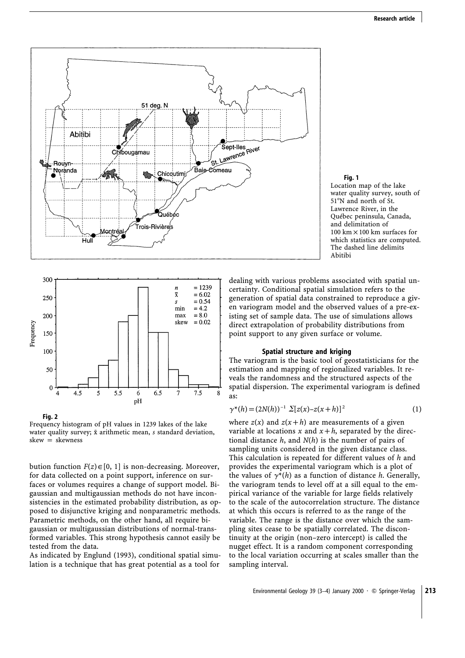

#### **Fig. 1**

Location map of the lake water quality survey, south of 51°N and north of St. Lawrence River, in the Québec peninsula, Canada, and delimitation of 100 km  $\times$  100 km surfaces for which statistics are computed. The dashed line delimits Abitibi



**Fig. 2**

Frequency histogram of pH values in 1239 lakes of the lake water quality survey;  $\bar{x}$  arithmetic mean, *s* standard deviation,  $skew = skewness$ 

bution function  $F(z) \in [0, 1]$  is non-decreasing. Moreover, for data collected on a point support, inference on surfaces or volumes requires a change of support model. Bigaussian and multigaussian methods do not have inconsistencies in the estimated probability distribution, as opposed to disjunctive kriging and nonparametric methods. Parametric methods, on the other hand, all require bigaussian or multigaussian distributions of normal-transformed variables. This strong hypothesis cannot easily be tested from the data.

As indicated by Englund (1993), conditional spatial simulation is a technique that has great potential as a tool for

dealing with various problems associated with spatial uncertainty. Conditional spatial simulation refers to the generation of spatial data constrained to reproduce a given variogram model and the observed values of a pre-existing set of sample data. The use of simulations allows direct extrapolation of probability distributions from point support to any given surface or volume.

#### **Spatial structure and kriging**

The variogram is the basic tool of geostatisticians for the estimation and mapping of regionalized variables. It reveals the randomness and the structured aspects of the spatial dispersion. The experimental variogram is defined as:

$$
\gamma^*(h) = (2N(h))^{-1} \sum [z(x) - z(x+h)]^2
$$
 (1)

where  $z(x)$  and  $z(x+h)$  are measurements of a given variable at locations x and  $x + h$ , separated by the directional distance *h*, and *N*(*h*) is the number of pairs of sampling units considered in the given distance class. This calculation is repeated for different values of *h* and provides the experimental variogram which is a plot of the values of  $\gamma^*(h)$  as a function of distance *h*. Generally, the variogram tends to level off at a sill equal to the empirical variance of the variable for large fields relatively to the scale of the autocorrelation structure. The distance at which this occurs is referred to as the range of the variable. The range is the distance over which the sampling sites cease to be spatially correlated. The discontinuity at the origin (non–zero intercept) is called the nugget effect. It is a random component corresponding to the local variation occurring at scales smaller than the sampling interval.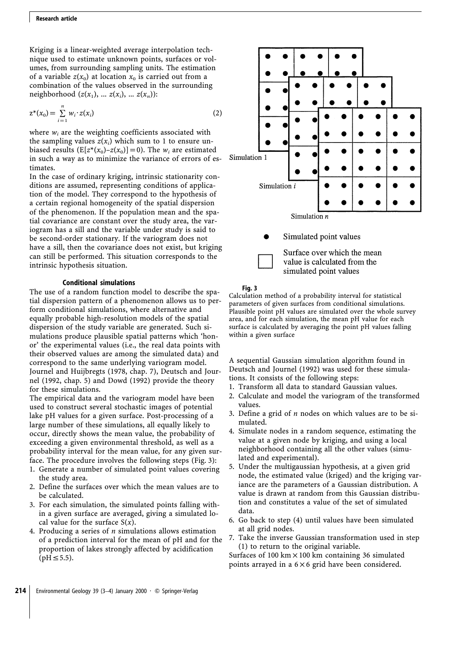Kriging is a linear-weighted average interpolation technique used to estimate unknown points, surfaces or volumes, from surrounding sampling units. The estimation of a variable  $z(x_0)$  at location  $x_0$  is carried out from a combination of the values observed in the surrounding neighborhood  $(z(x_1), ..., z(x_i), ..., z(x_n))$ :

$$
z^{*}(x_{0}) = \sum_{i=1}^{n} w_{i} \cdot z(x_{i})
$$
 (2)

where  $w_i$  are the weighting coefficients associated with the sampling values  $z(x_i)$  which sum to 1 to ensure unbiased results  $(E[z^*(x_0)-z(x_0)]=0)$ . The  $w_i$  are estimated in such a way as to minimize the variance of errors of estimates.

In the case of ordinary kriging, intrinsic stationarity conditions are assumed, representing conditions of application of the model. They correspond to the hypothesis of a certain regional homogeneity of the spatial dispersion of the phenomenon. If the population mean and the spatial covariance are constant over the study area, the variogram has a sill and the variable under study is said to be second-order stationary. If the variogram does not have a sill, then the covariance does not exist, but kriging can still be performed. This situation corresponds to the intrinsic hypothesis situation.

#### **Conditional simulations**

The use of a random function model to describe the spatial dispersion pattern of a phenomenon allows us to perform conditional simulations, where alternative and equally probable high-resolution models of the spatial dispersion of the study variable are generated. Such simulations produce plausible spatial patterns which 'honor' the experimental values (i.e., the real data points with their observed values are among the simulated data) and correspond to the same underlying variogram model. Journel and Huijbregts (1978, chap. 7), Deutsch and Journel (1992, chap. 5) and Dowd (1992) provide the theory for these simulations.

The empirical data and the variogram model have been used to construct several stochastic images of potential lake pH values for a given surface. Post-processing of a large number of these simulations, all equally likely to occur, directly shows the mean value, the probability of exceeding a given environmental threshold, as well as a probability interval for the mean value, for any given surface. The procedure involves the following steps (Fig. 3):

- 1. Generate a number of simulated point values covering the study area.
- 2. Define the surfaces over which the mean values are to be calculated.
- 3. For each simulation, the simulated points falling within a given surface are averaged, giving a simulated local value for the surface S(*x*).
- 4. Producing a series of *n* simulations allows estimation of a prediction interval for the mean of pH and for the proportion of lakes strongly affected by acidification  $(pH \le 5.5)$ .



#### **Fig. 3**

Calculation method of a probability interval for statistical parameters of given surfaces from conditional simulations. Plausible point pH values are simulated over the whole survey area, and for each simulation, the mean pH value for each surface is calculated by averaging the point pH values falling within a given surface

simulated point values

A sequential Gaussian simulation algorithm found in Deutsch and Journel (1992) was used for these simulations. It consists of the following steps:

- 1. Transform all data to standard Gaussian values.
- 2. Calculate and model the variogram of the transformed values.
- 3. Define a grid of *n* nodes on which values are to be simulated.
- 4. Simulate nodes in a random sequence, estimating the value at a given node by kriging, and using a local neighborhood containing all the other values (simulated and experimental).
- 5. Under the multigaussian hypothesis, at a given grid node, the estimated value (kriged) and the kriging variance are the parameters of a Gaussian distribution. A value is drawn at random from this Gaussian distribution and constitutes a value of the set of simulated data.
- 6. Go back to step (4) until values have been simulated at all grid nodes.
- 7. Take the inverse Gaussian transformation used in step (1) to return to the original variable.

Surfaces of 100 km  $\times$  100 km containing 36 simulated points arrayed in a  $6 \times 6$  grid have been considered.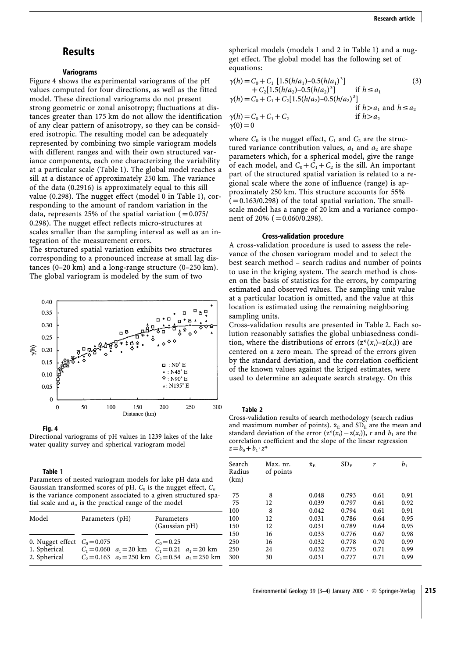### **Results**

#### **Variograms**

Figure 4 shows the experimental variograms of the pH values computed for four directions, as well as the fitted model. These directional variograms do not present strong geometric or zonal anisotropy; fluctuations at distances greater than 175 km do not allow the identification of any clear pattern of anisotropy, so they can be considered isotropic. The resulting model can be adequately represented by combining two simple variogram models with different ranges and with their own structured variance components, each one characterizing the variability at a particular scale (Table 1). The global model reaches a sill at a distance of approximately 250 km. The variance of the data (0.2916) is approximately equal to this sill value (0.298). The nugget effect (model 0 in Table 1), corresponding to the amount of random variation in the data, represents 25% of the spatial variation  $(=0.075/$ 0.298). The nugget effect reflects micro-structures at scales smaller than the sampling interval as well as an integration of the measurement errors. The structured spatial variation exhibits two structures

corresponding to a pronounced increase at small lag distances (0–20 km) and a long-range structure (0–250 km). The global variogram is modeled by the sum of two



**Fig. 4**

Directional variograms of pH values in 1239 lakes of the lake water quality survey and spherical variogram model

#### **Table 1**

Parameters of nested variogram models for lake pH data and Gaussian transformed scores of pH.  $C_0$  is the nugget effect,  $C_n$ is the variance component associated to a given structured spatial scale and  $a_n$  is the practical range of the model

| Model                                                          | Parameters (pH)                                                                                                    | Parameters<br>(Gaussian pH) |  |
|----------------------------------------------------------------|--------------------------------------------------------------------------------------------------------------------|-----------------------------|--|
| 0. Nugget effect $C_0 = 0.075$<br>1. Spherical<br>2. Spherical | $C_1 = 0.060$ $a_1 = 20$ km $C_1 = 0.21$ $a_1 = 20$ km<br>$C_2 = 0.163$ $a_2 = 250$ km $C_2 = 0.54$ $a_2 = 250$ km | $C_0 = 0.25$                |  |

spherical models (models 1 and 2 in Table 1) and a nugget effect. The global model has the following set of equations:

$$
\gamma(h) = C_0 + C_1 [1.5(h/a_1) - 0.5(h/a_1)^3]
$$
\n
$$
+ C_2 [1.5(h/a_2) - 0.5(h/a_2)^3]
$$
\nif  $h \le a_1$   
\n
$$
\gamma(h) = C_0 + C_1 + C_2 [1.5(h/a_2) - 0.5(h/a_2)^3]
$$
\nif  $h > a_1$  and  $h \le a_2$   
\n
$$
\gamma(h) = C_0 + C_1 + C_2
$$
\nif  $h > a_2$   
\n
$$
\gamma(0) = 0
$$
\n(f)

where  $C_0$  is the nugget effect,  $C_1$  and  $C_2$  are the structured variance contribution values,  $a_1$  and  $a_2$  are shape parameters which, for a spherical model, give the range of each model, and  $C_0 + C_1 + C_2$  is the sill. An important part of the structured spatial variation is related to a regional scale where the zone of influence (range) is approximately 250 km. This structure accounts for 55%  $(=0.163/0.298)$  of the total spatial variation. The smallscale model has a range of 20 km and a variance component of 20% ( $=0.060/0.298$ ).

#### **Cross-validation procedure**

A cross-validation procedure is used to assess the relevance of the chosen variogram model and to select the best search method – search radius and number of points to use in the kriging system. The search method is chosen on the basis of statistics for the errors, by comparing estimated and observed values. The sampling unit value at a particular location is omitted, and the value at this location is estimated using the remaining neighboring sampling units.

Cross-validation results are presented in Table 2. Each solution reasonably satisfies the global unbiasedness condition, where the distributions of errors  $(z^*(x_i)-z(x_i))$  are centered on a zero mean. The spread of the errors given by the standard deviation, and the correlation coefficient of the known values against the kriged estimates, were used to determine an adequate search strategy. On this

**Table 2**

Cross-validation results of search methodology (search radius and maximum number of points).  $\bar{x}_E$  and SD<sub>E</sub> are the mean and standard deviation of the error  $(z^*(x_i)-z(x_i))$ , *r* and  $b_1$  are the correlation coefficient and the slope of the linear regression  $z = b_0 + b_1 \cdot z^*$ 

| Search<br>Radius<br>(km) | Max. nr.<br>of points | $\bar{\mathbf{X}}_{\rm E}$ | $SD_F$ | r    | b <sub>1</sub> |
|--------------------------|-----------------------|----------------------------|--------|------|----------------|
| 75                       | 8                     | 0.048                      | 0.793  | 0.61 | 0.91           |
| 75                       | 12                    | 0.039                      | 0.797  | 0.61 | 0.92           |
| 100                      | 8                     | 0.042                      | 0.794  | 0.61 | 0.91           |
| 100                      | 12                    | 0.031                      | 0.786  | 0.64 | 0.95           |
| 150                      | 12                    | 0.031                      | 0.789  | 0.64 | 0.95           |
| 150                      | 16                    | 0.033                      | 0.776  | 0.67 | 0.98           |
| 250                      | 16                    | 0.032                      | 0.778  | 0.70 | 0.99           |
| 250                      | 24                    | 0.032                      | 0.775  | 0.71 | 0.99           |
| 300                      | 30                    | 0.031                      | 0.777  | 0.71 | 0.99           |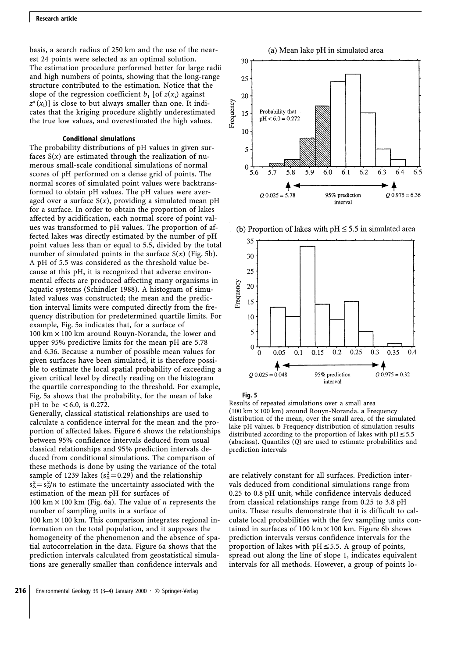#### **Research article**

basis, a search radius of 250 km and the use of the nearest 24 points were selected as an optimal solution. The estimation procedure performed better for large radii and high numbers of points, showing that the long-range structure contributed to the estimation. Notice that the slope of the regression coefficient  $b_1$  [of  $z(x_i)$  against  $z^*(x_i)$ ] is close to but always smaller than one. It indicates that the kriging procedure slightly underestimated the true low values, and overestimated the high values.

#### **Conditional simulations**

The probability distributions of pH values in given surfaces  $S(x)$  are estimated through the realization of numerous small-scale conditional simulations of normal scores of pH performed on a dense grid of points. The normal scores of simulated point values were backtransformed to obtain pH values. The pH values were averaged over a surface  $S(x)$ , providing a simulated mean  $pH$ for a surface. In order to obtain the proportion of lakes affected by acidification, each normal score of point values was transformed to pH values. The proportion of affected lakes was directly estimated by the number of pH point values less than or equal to 5.5, divided by the total number of simulated points in the surface S(*x*) (Fig. 5b). A pH of 5.5 was considered as the threshold value because at this pH, it is recognized that adverse environmental effects are produced affecting many organisms in aquatic systems (Schindler 1988). A histogram of simulated values was constructed; the mean and the prediction interval limits were computed directly from the frequency distribution for predetermined quartile limits. For example, Fig. 5a indicates that, for a surface of  $100 \text{ km} \times 100 \text{ km}$  around Rouyn-Noranda, the lower and upper 95% predictive limits for the mean pH are 5.78 and 6.36. Because a number of possible mean values for given surfaces have been simulated, it is therefore possible to estimate the local spatial probability of exceeding a given critical level by directly reading on the histogram the quartile corresponding to the threshold. For example, Fig. 5a shows that the probability, for the mean of lake pH to be  $<6.0$ , is 0.272.

Generally, classical statistical relationships are used to calculate a confidence interval for the mean and the proportion of affected lakes. Figure 6 shows the relationships between 95% confidence intervals deduced from usual classical relationships and 95% prediction intervals deduced from conditional simulations. The comparison of these methods is done by using the variance of the total sample of 1239 lakes  $(s_x^2=0.29)$  and the relationship  $s_x^2 = s_x^2/n$  to estimate the uncertainty associated with the estimation of the mean pH for surfaces of 100 km  $\times$  100 km (Fig. 6a). The value of *n* represents the number of sampling units in a surface of  $100 \text{ km} \times 100 \text{ km}$ . This comparison integrates regional information on the total population, and it supposes the homogeneity of the phenomenon and the absence of spatial autocorrelation in the data. Figure 6a shows that the prediction intervals calculated from geostatistical simulations are generally smaller than confidence intervals and



(b) Proportion of lakes with  $pH \le 5.5$  in simulated area



#### **Fig. 5**

Results of repeated simulations over a small area (100 km!100 km) around Rouyn-Noranda. **a** Frequency distribution of the mean, over the small area, of the simulated lake pH values. **b** Frequency distribution of simulation results distributed according to the proportion of lakes with  $pH \le 5.5$ (abscissa). Quantiles (*Q*) are used to estimate probabilities and prediction intervals

are relatively constant for all surfaces. Prediction intervals deduced from conditional simulations range from 0.25 to 0.8 pH unit, while confidence intervals deduced from classical relationships range from 0.25 to 3.8 pH units. These results demonstrate that it is difficult to calculate local probabilities with the few sampling units contained in surfaces of 100 km  $\times$  100 km. Figure 6b shows prediction intervals versus confidence intervals for the proportion of lakes with  $pH \leq 5.5$ . A group of points, spread out along the line of slope 1, indicates equivalent intervals for all methods. However, a group of points lo-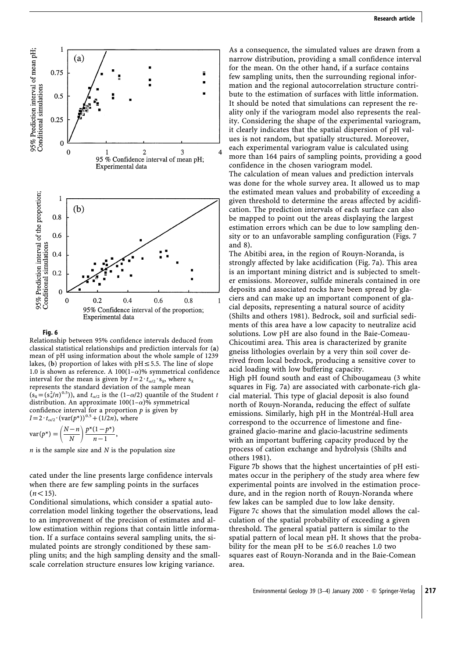

#### **Fig. 6**

Relationship between 95% confidence intervals deduced from classical statistical relationships and prediction intervals for (**a**) mean of pH using information about the whole sample of 1239 lakes, (b) proportion of lakes with  $pH \le 5.5$ . The line of slope 1.0 is shown as reference. A 100(1- $\alpha$ )% symmetrical confidence interval for the mean is given by  $I=2 \tcdot t_{\alpha/2} \tcdot s_{\bar{x}}$ , where  $s_{\bar{x}}$ represents the standard deviation of the sample mean  $(s_{\bar{x}} = (s_x^2/n)^{0.5})$ ), and  $t_{\alpha/2}$  is the (1– $\alpha/2$ ) quantile of the Student *t* distribution. An approximate  $100(1-\alpha)$ % symmetrical confidence interval for a proportion *p* is given by  $I=2 \tcdot t_{\alpha/2} \cdot (\text{var}(p^*))^{0.5} + (1/2n)$ , where

$$
var(p^*) = \left(\frac{N-n}{N}\right) \frac{p^*(1-p^*)}{n-1},
$$

*n* is the sample size and *N* is the population size

cated under the line presents large confidence intervals when there are few sampling points in the surfaces  $(n<15)$ .

Conditional simulations, which consider a spatial autocorrelation model linking together the observations, lead to an improvement of the precision of estimates and allow estimation within regions that contain little information. If a surface contains several sampling units, the simulated points are strongly conditioned by these sampling units; and the high sampling density and the smallscale correlation structure ensures low kriging variance.

As a consequence, the simulated values are drawn from a narrow distribution, providing a small confidence interval for the mean. On the other hand, if a surface contains few sampling units, then the surrounding regional information and the regional autocorrelation structure contribute to the estimation of surfaces with little information. It should be noted that simulations can represent the reality only if the variogram model also represents the reality. Considering the shape of the experimental variogram, it clearly indicates that the spatial dispersion of pH values is not random, but spatially structured. Moreover, each experimental variogram value is calculated using more than 164 pairs of sampling points, providing a good confidence in the chosen variogram model. The calculation of mean values and prediction intervals was done for the whole survey area. It allowed us to map the estimated mean values and probability of exceeding a given threshold to determine the areas affected by acidification. The prediction intervals of each surface can also be mapped to point out the areas displaying the largest estimation errors which can be due to low sampling density or to an unfavorable sampling configuration (Figs. 7 and 8).

The Abitibi area, in the region of Rouyn-Noranda, is strongly affected by lake acidification (Fig. 7a). This area is an important mining district and is subjected to smelter emissions. Moreover, sulfide minerals contained in ore deposits and associated rocks have been spread by glaciers and can make up an important component of glacial deposits, representing a natural source of acidity (Shilts and others 1981). Bedrock, soil and surficial sediments of this area have a low capacity to neutralize acid solutions. Low pH are also found in the Baie-Comeau-Chicoutimi area. This area is characterized by granite gneiss lithologies overlain by a very thin soil cover derived from local bedrock, producing a sensitive cover to acid loading with low buffering capacity.

High pH found south and east of Chibougameau (3 white squares in Fig. 7a) are associated with carbonate-rich glacial material. This type of glacial deposit is also found north of Rouyn-Noranda, reducing the effect of sulfate emissions. Similarly, high pH in the Montréal-Hull area correspond to the occurrence of limestone and finegrained glacio-marine and glacio-lacustrine sediments with an important buffering capacity produced by the process of cation exchange and hydrolysis (Shilts and others 1981).

Figure 7b shows that the highest uncertainties of pH estimates occur in the periphery of the study area where few experimental points are involved in the estimation procedure, and in the region north of Rouyn-Noranda where few lakes can be sampled due to low lake density. Figure 7c shows that the simulation model allows the calculation of the spatial probability of exceeding a given threshold. The general spatial pattern is similar to the spatial pattern of local mean pH. It shows that the probability for the mean pH to be  $\leq 6.0$  reaches 1.0 two squares east of Rouyn-Noranda and in the Baie-Comean area.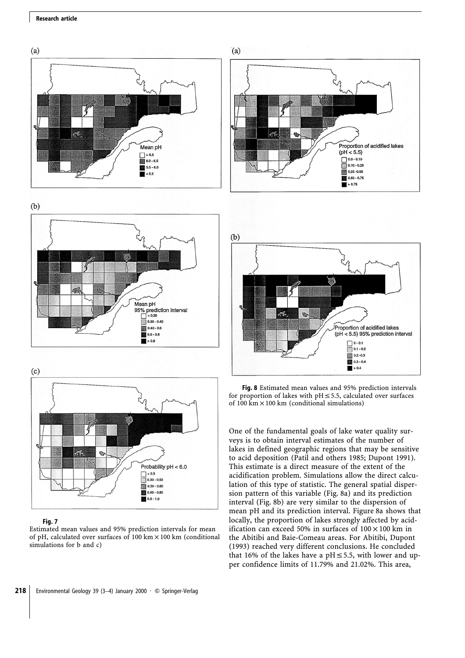#### **Research article**











#### **Fig. 7**

Estimated mean values and 95% prediction intervals for mean of pH, calculated over surfaces of 100 km  $\times$  100 km (conditional simulations for b and c)



**Fig. 8** Estimated mean values and 95% prediction intervals for proportion of lakes with  $pH \le 5.5$ , calculated over surfaces of 100 km $\times$  100 km (conditional simulations)

Proportion of acidified lakes (pH < 5.5) 95% prediction interval

> $\bigcap$  0 - 0.1  $\Box$  0.1 - 0.2  $0.2 - 0.3$  $0.3 - 0.4$  $\blacksquare > 0.4$

r.

One of the fundamental goals of lake water quality surveys is to obtain interval estimates of the number of lakes in defined geographic regions that may be sensitive to acid deposition (Patil and others 1985; Dupont 1991). This estimate is a direct measure of the extent of the acidification problem. Simulations allow the direct calculation of this type of statistic. The general spatial dispersion pattern of this variable (Fig. 8a) and its prediction interval (Fig. 8b) are very similar to the dispersion of mean pH and its prediction interval. Figure 8a shows that locally, the proportion of lakes strongly affected by acidification can exceed 50% in surfaces of  $100 \times 100$  km in the Abitibi and Baie-Comeau areas. For Abitibi, Dupont (1993) reached very different conclusions. He concluded that 16% of the lakes have a pH $\leq$ 5.5, with lower and upper confidence limits of 11.79% and 21.02%. This area,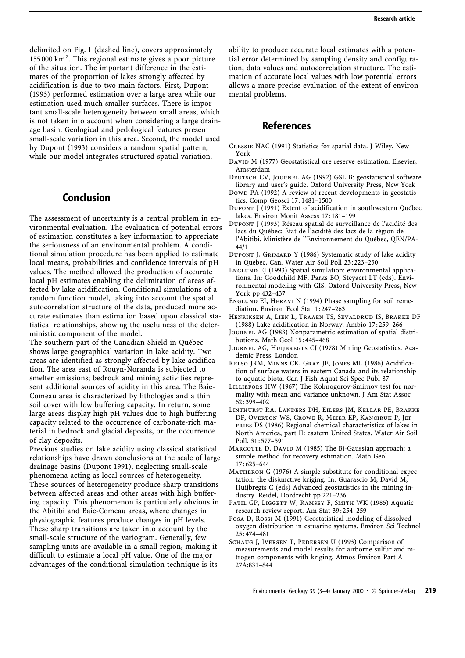delimited on Fig. 1 (dashed line), covers approximately 155 000 km<sup>2</sup> . This regional estimate gives a poor picture of the situation. The important difference in the estimates of the proportion of lakes strongly affected by acidification is due to two main factors. First, Dupont (1993) performed estimation over a large area while our estimation used much smaller surfaces. There is important small-scale heterogeneity between small areas, which is not taken into account when considering a large drainage basin. Geological and pedological features present small-scale variation in this area. Second, the model used by Dupont (1993) considers a random spatial pattern, while our model integrates structured spatial variation.

## **Conclusion**

The assessment of uncertainty is a central problem in environmental evaluation. The evaluation of potential errors of estimation constitutes a key information to appreciate the seriousness of an environmental problem. A conditional simulation procedure has been applied to estimate local means, probabilities and confidence intervals of pH values. The method allowed the production of accurate local pH estimates enabling the delimitation of areas affected by lake acidification. Conditional simulations of a random function model, taking into account the spatial autocorrelation structure of the data, produced more accurate estimates than estimation based upon classical statistical relationships, showing the usefulness of the deterministic component of the model.

The southern part of the Canadian Shield in Québec shows large geographical variation in lake acidity. Two areas are identified as strongly affected by lake acidification. The area east of Rouyn-Noranda is subjected to smelter emissions; bedrock and mining activities represent additional sources of acidity in this area. The Baie-Comeau area is characterized by lithologies and a thin soil cover with low buffering capacity. In return, some large areas display high pH values due to high buffering capacity related to the occurrence of carbonate-rich material in bedrock and glacial deposits, or the occurrence of clay deposits.

Previous studies on lake acidity using classical statistical relationships have drawn conclusions at the scale of large drainage basins (Dupont 1991), neglecting small-scale phenomena acting as local sources of heterogeneity. These sources of heterogeneity produce sharp transitions between affected areas and other areas with high buffering capacity. This phenomenon is particularly obvious in the Abitibi and Baie-Comeau areas, where changes in physiographic features produce changes in pH levels. These sharp transitions are taken into account by the small-scale structure of the variogram. Generally, few sampling units are available in a small region, making it difficult to estimate a local pH value. One of the major advantages of the conditional simulation technique is its

ability to produce accurate local estimates with a potential error determined by sampling density and configuration, data values and autocorrelation structure. The estimation of accurate local values with low potential errors allows a more precise evaluation of the extent of environmental problems.

## **References**

- Cressie NAC (1991) Statistics for spatial data. J Wiley, New York
- DAVID M (1977) Geostatistical ore reserve estimation. Elsevier, Amsterdam
- Deutsch CV, Journel AG (1992) GSLIB: geostatistical software library and user's guide. Oxford University Press, New York
- Down PA (1992) A review of recent developments in geostatistics. Comp Geosci 17 : 1481–1500
- Dupont J (1991) Extent of acidification in southwestern Québec lakes. Environ Monit Assess 17 : 181–199
- Dupont J (1993) Réseau spatial de surveillance de l'acidité des lacs du Québec: État de l'acidité des lacs de la région de l'Abitibi. Ministère de l'Environnement du Québec, QEN/PA-44/1
- Dupont J, Grimard Y (1986) Systematic study of lake acidity in Quebec, Can. Water Air Soil Poll 23 : 223–230
- ENGLUND EJ (1993) Spatial simulation: environmental applications. In: Goodchild MF, Parks BO, Steyaert LT (eds). Environmental modeling with GIS. Oxford University Press, New York pp 432–437
- Englund EJ, Heravi N (1994) Phase sampling for soil remediation. Environ Ecol Stat 1:247-263
- Henriksen A, Lien L, Traaen TS, Sevaldrud IS, Brakke DF (1988) Lake acidification in Norway. Ambio 17 : 259–266
- Journel AG (1983) Nonparametric estimation of spatial distributions. Math Geol 15 : 445–468
- JOURNEL AG, HUIJBREGTS CJ (1978) Mining Geostatistics. Academic Press, London
- Kelso JRM, Minns CK, Gray JE, Jones ML (1986) Acidification of surface waters in eastern Canada and its relationship to aquatic biota. Can J Fish Aquat Sci Spec Publ 87
- LILLIEFORS HW (1967) The Kolmogorov-Smirnov test for normality with mean and variance unknown. J Am Stat Assoc 62 : 399–402
- Linthurst RA, Landers DH, Eilers JM, Kellar PE, Brakke DF, Overton WS, Crowe R, Meier EP, Kanciruk P, Jeffries DS (1986) Regional chemical characteristics of lakes in North America, part II: eastern United States. Water Air Soil Poll. 31 : 577–591
- MARCOTTE D, DAVID M (1985) The Bi-Gaussian approach: a simple method for recovery estimation. Math Geol 17 : 625–644
- Matheron G (1976) A simple substitute for conditional expectation: the disjunctive kriging. In: Guarascio M, David M, Huijbregts C (eds) Advanced geostatistics in the mining industry. Reidel, Dordrecht pp 221–236
- PATIL GP, LIGGETT W, RAMSEY F, SMITH WK (1985) Aquatic research review report. Am Stat 39 : 254–259
- Posa D, Rossi M (1991) Geostatistical modeling of dissolved oxygen distribution in estuarine systems. Environ Sci Technol 25 : 474–481
- Schaug J, Iversen T, Pedersen U (1993) Comparison of measurements and model results for airborne sulfur and nitrogen components with kriging. Atmos Environ Part A 27A:831–844